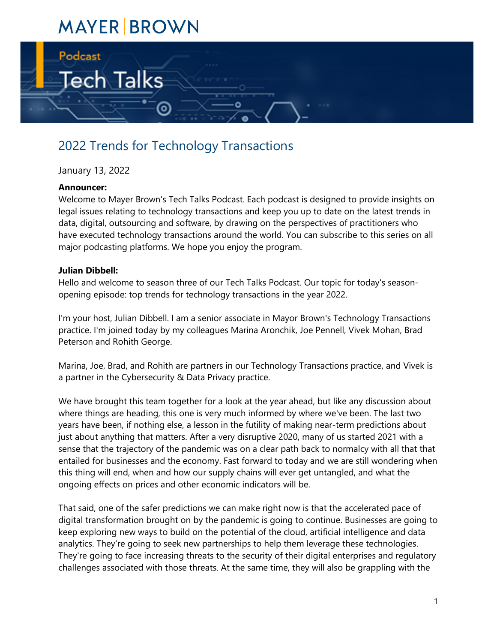# **MAYER BROWN**



# 2022 Trends for Technology Transactions

# January 13, 2022

# **Announcer:**

Welcome to Mayer Brown's Tech Talks Podcast. Each podcast is designed to provide insights on legal issues relating to technology transactions and keep you up to date on the latest trends in data, digital, outsourcing and software, by drawing on the perspectives of practitioners who have executed technology transactions around the world. You can subscribe to this series on all major podcasting platforms. We hope you enjoy the program.

#### **Julian Dibbell:**

Hello and welcome to season three of our Tech Talks Podcast. Our topic for today's seasonopening episode: top trends for technology transactions in the year 2022.

I'm your host, Julian Dibbell. I am a senior associate in Mayor Brown's Technology Transactions practice. I'm joined today by my colleagues Marina Aronchik, Joe Pennell, Vivek Mohan, Brad Peterson and Rohith George.

Marina, Joe, Brad, and Rohith are partners in our Technology Transactions practice, and Vivek is a partner in the Cybersecurity & Data Privacy practice.

We have brought this team together for a look at the year ahead, but like any discussion about where things are heading, this one is very much informed by where we've been. The last two years have been, if nothing else, a lesson in the futility of making near-term predictions about just about anything that matters. After a very disruptive 2020, many of us started 2021 with a sense that the trajectory of the pandemic was on a clear path back to normalcy with all that that entailed for businesses and the economy. Fast forward to today and we are still wondering when this thing will end, when and how our supply chains will ever get untangled, and what the ongoing effects on prices and other economic indicators will be.

That said, one of the safer predictions we can make right now is that the accelerated pace of digital transformation brought on by the pandemic is going to continue. Businesses are going to keep exploring new ways to build on the potential of the cloud, artificial intelligence and data analytics. They're going to seek new partnerships to help them leverage these technologies. They're going to face increasing threats to the security of their digital enterprises and regulatory challenges associated with those threats. At the same time, they will also be grappling with the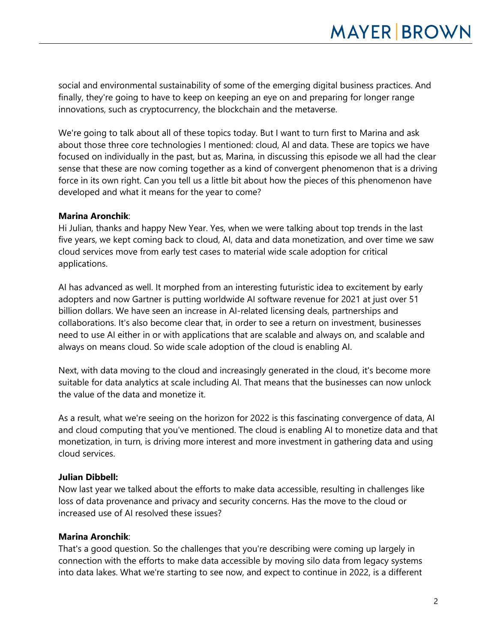social and environmental sustainability of some of the emerging digital business practices. And finally, they're going to have to keep on keeping an eye on and preparing for longer range innovations, such as cryptocurrency, the blockchain and the metaverse.

We're going to talk about all of these topics today. But I want to turn first to Marina and ask about those three core technologies I mentioned: cloud, Al and data. These are topics we have focused on individually in the past, but as, Marina, in discussing this episode we all had the clear sense that these are now coming together as a kind of convergent phenomenon that is a driving force in its own right. Can you tell us a little bit about how the pieces of this phenomenon have developed and what it means for the year to come?

#### **Marina Aronchik**:

Hi Julian, thanks and happy New Year. Yes, when we were talking about top trends in the last five years, we kept coming back to cloud, AI, data and data monetization, and over time we saw cloud services move from early test cases to material wide scale adoption for critical applications.

AI has advanced as well. It morphed from an interesting futuristic idea to excitement by early adopters and now Gartner is putting worldwide AI software revenue for 2021 at just over 51 billion dollars. We have seen an increase in AI-related licensing deals, partnerships and collaborations. It's also become clear that, in order to see a return on investment, businesses need to use AI either in or with applications that are scalable and always on, and scalable and always on means cloud. So wide scale adoption of the cloud is enabling AI.

Next, with data moving to the cloud and increasingly generated in the cloud, it's become more suitable for data analytics at scale including AI. That means that the businesses can now unlock the value of the data and monetize it.

As a result, what we're seeing on the horizon for 2022 is this fascinating convergence of data, AI and cloud computing that you've mentioned. The cloud is enabling AI to monetize data and that monetization, in turn, is driving more interest and more investment in gathering data and using cloud services.

# **Julian Dibbell:**

Now last year we talked about the efforts to make data accessible, resulting in challenges like loss of data provenance and privacy and security concerns. Has the move to the cloud or increased use of AI resolved these issues?

#### **Marina Aronchik**:

That's a good question. So the challenges that you're describing were coming up largely in connection with the efforts to make data accessible by moving silo data from legacy systems into data lakes. What we're starting to see now, and expect to continue in 2022, is a different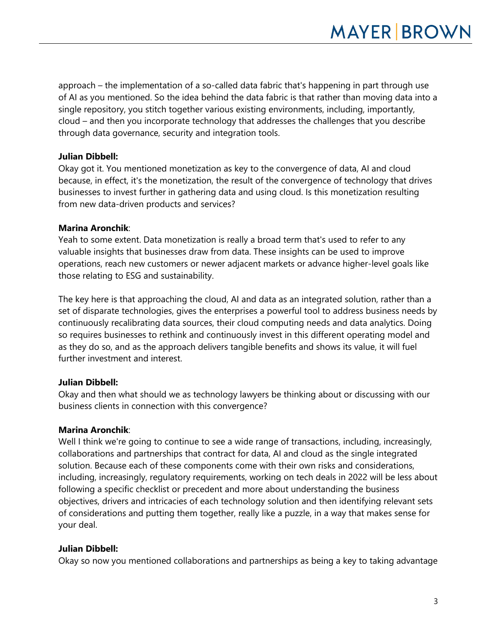approach – the implementation of a so-called data fabric that's happening in part through use of AI as you mentioned. So the idea behind the data fabric is that rather than moving data into a single repository, you stitch together various existing environments, including, importantly, cloud – and then you incorporate technology that addresses the challenges that you describe through data governance, security and integration tools.

# **Julian Dibbell:**

Okay got it. You mentioned monetization as key to the convergence of data, AI and cloud because, in effect, it's the monetization, the result of the convergence of technology that drives businesses to invest further in gathering data and using cloud. Is this monetization resulting from new data-driven products and services?

# **Marina Aronchik**:

Yeah to some extent. Data monetization is really a broad term that's used to refer to any valuable insights that businesses draw from data. These insights can be used to improve operations, reach new customers or newer adjacent markets or advance higher-level goals like those relating to ESG and sustainability.

The key here is that approaching the cloud, AI and data as an integrated solution, rather than a set of disparate technologies, gives the enterprises a powerful tool to address business needs by continuously recalibrating data sources, their cloud computing needs and data analytics. Doing so requires businesses to rethink and continuously invest in this different operating model and as they do so, and as the approach delivers tangible benefits and shows its value, it will fuel further investment and interest.

# **Julian Dibbell:**

Okay and then what should we as technology lawyers be thinking about or discussing with our business clients in connection with this convergence?

# **Marina Aronchik**:

Well I think we're going to continue to see a wide range of transactions, including, increasingly, collaborations and partnerships that contract for data, AI and cloud as the single integrated solution. Because each of these components come with their own risks and considerations, including, increasingly, regulatory requirements, working on tech deals in 2022 will be less about following a specific checklist or precedent and more about understanding the business objectives, drivers and intricacies of each technology solution and then identifying relevant sets of considerations and putting them together, really like a puzzle, in a way that makes sense for your deal.

# **Julian Dibbell:**

Okay so now you mentioned collaborations and partnerships as being a key to taking advantage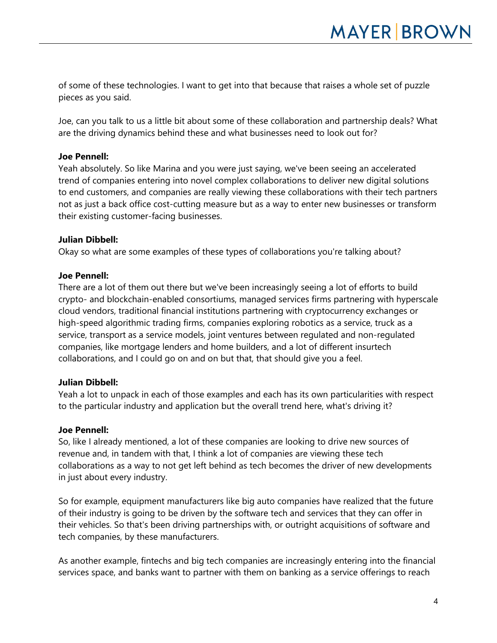of some of these technologies. I want to get into that because that raises a whole set of puzzle pieces as you said.

Joe, can you talk to us a little bit about some of these collaboration and partnership deals? What are the driving dynamics behind these and what businesses need to look out for?

#### **Joe Pennell:**

Yeah absolutely. So like Marina and you were just saying, we've been seeing an accelerated trend of companies entering into novel complex collaborations to deliver new digital solutions to end customers, and companies are really viewing these collaborations with their tech partners not as just a back office cost-cutting measure but as a way to enter new businesses or transform their existing customer-facing businesses.

#### **Julian Dibbell:**

Okay so what are some examples of these types of collaborations you're talking about?

#### **Joe Pennell:**

There are a lot of them out there but we've been increasingly seeing a lot of efforts to build crypto- and blockchain-enabled consortiums, managed services firms partnering with hyperscale cloud vendors, traditional financial institutions partnering with cryptocurrency exchanges or high-speed algorithmic trading firms, companies exploring robotics as a service, truck as a service, transport as a service models, joint ventures between regulated and non-regulated companies, like mortgage lenders and home builders, and a lot of different insurtech collaborations, and I could go on and on but that, that should give you a feel.

# **Julian Dibbell:**

Yeah a lot to unpack in each of those examples and each has its own particularities with respect to the particular industry and application but the overall trend here, what's driving it?

#### **Joe Pennell:**

So, like I already mentioned, a lot of these companies are looking to drive new sources of revenue and, in tandem with that, I think a lot of companies are viewing these tech collaborations as a way to not get left behind as tech becomes the driver of new developments in just about every industry.

So for example, equipment manufacturers like big auto companies have realized that the future of their industry is going to be driven by the software tech and services that they can offer in their vehicles. So that's been driving partnerships with, or outright acquisitions of software and tech companies, by these manufacturers.

As another example, fintechs and big tech companies are increasingly entering into the financial services space, and banks want to partner with them on banking as a service offerings to reach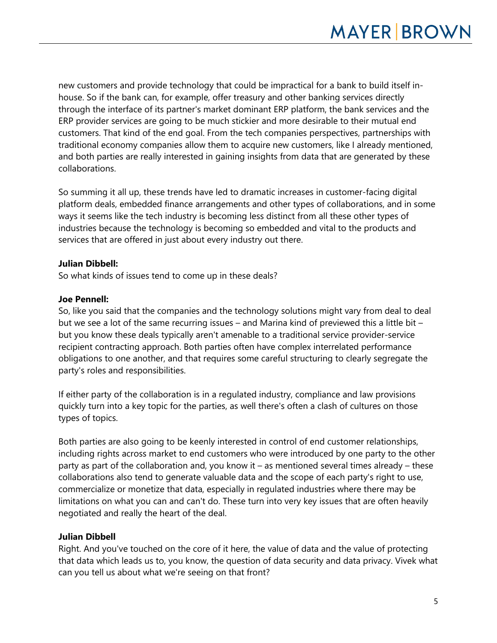new customers and provide technology that could be impractical for a bank to build itself inhouse. So if the bank can, for example, offer treasury and other banking services directly through the interface of its partner's market dominant ERP platform, the bank services and the ERP provider services are going to be much stickier and more desirable to their mutual end customers. That kind of the end goal. From the tech companies perspectives, partnerships with traditional economy companies allow them to acquire new customers, like I already mentioned, and both parties are really interested in gaining insights from data that are generated by these collaborations.

So summing it all up, these trends have led to dramatic increases in customer-facing digital platform deals, embedded finance arrangements and other types of collaborations, and in some ways it seems like the tech industry is becoming less distinct from all these other types of industries because the technology is becoming so embedded and vital to the products and services that are offered in just about every industry out there.

# **Julian Dibbell:**

So what kinds of issues tend to come up in these deals?

# **Joe Pennell:**

So, like you said that the companies and the technology solutions might vary from deal to deal but we see a lot of the same recurring issues – and Marina kind of previewed this a little bit – but you know these deals typically aren't amenable to a traditional service provider-service recipient contracting approach. Both parties often have complex interrelated performance obligations to one another, and that requires some careful structuring to clearly segregate the party's roles and responsibilities.

If either party of the collaboration is in a regulated industry, compliance and law provisions quickly turn into a key topic for the parties, as well there's often a clash of cultures on those types of topics.

Both parties are also going to be keenly interested in control of end customer relationships, including rights across market to end customers who were introduced by one party to the other party as part of the collaboration and, you know it – as mentioned several times already – these collaborations also tend to generate valuable data and the scope of each party's right to use, commercialize or monetize that data, especially in regulated industries where there may be limitations on what you can and can't do. These turn into very key issues that are often heavily negotiated and really the heart of the deal.

# **Julian Dibbell**

Right. And you've touched on the core of it here, the value of data and the value of protecting that data which leads us to, you know, the question of data security and data privacy. Vivek what can you tell us about what we're seeing on that front?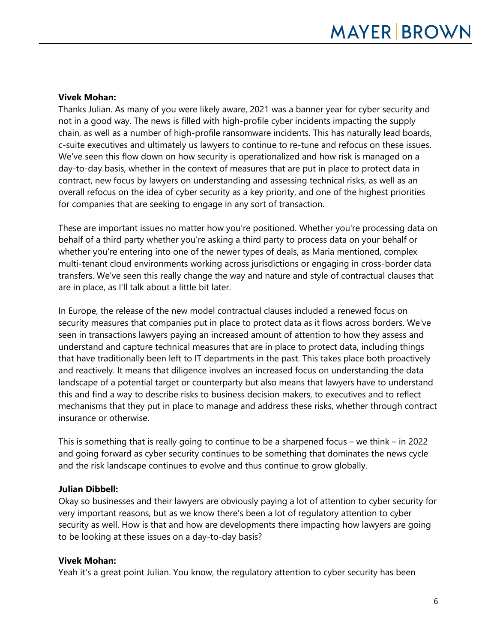#### **Vivek Mohan:**

Thanks Julian. As many of you were likely aware, 2021 was a banner year for cyber security and not in a good way. The news is filled with high-profile cyber incidents impacting the supply chain, as well as a number of high-profile ransomware incidents. This has naturally lead boards, c-suite executives and ultimately us lawyers to continue to re-tune and refocus on these issues. We've seen this flow down on how security is operationalized and how risk is managed on a day-to-day basis, whether in the context of measures that are put in place to protect data in contract, new focus by lawyers on understanding and assessing technical risks, as well as an overall refocus on the idea of cyber security as a key priority, and one of the highest priorities for companies that are seeking to engage in any sort of transaction.

These are important issues no matter how you're positioned. Whether you're processing data on behalf of a third party whether you're asking a third party to process data on your behalf or whether you're entering into one of the newer types of deals, as Maria mentioned, complex multi-tenant cloud environments working across jurisdictions or engaging in cross-border data transfers. We've seen this really change the way and nature and style of contractual clauses that are in place, as I'll talk about a little bit later.

In Europe, the release of the new model contractual clauses included a renewed focus on security measures that companies put in place to protect data as it flows across borders. We've seen in transactions lawyers paying an increased amount of attention to how they assess and understand and capture technical measures that are in place to protect data, including things that have traditionally been left to IT departments in the past. This takes place both proactively and reactively. It means that diligence involves an increased focus on understanding the data landscape of a potential target or counterparty but also means that lawyers have to understand this and find a way to describe risks to business decision makers, to executives and to reflect mechanisms that they put in place to manage and address these risks, whether through contract insurance or otherwise.

This is something that is really going to continue to be a sharpened focus – we think – in 2022 and going forward as cyber security continues to be something that dominates the news cycle and the risk landscape continues to evolve and thus continue to grow globally.

#### **Julian Dibbell:**

Okay so businesses and their lawyers are obviously paying a lot of attention to cyber security for very important reasons, but as we know there's been a lot of regulatory attention to cyber security as well. How is that and how are developments there impacting how lawyers are going to be looking at these issues on a day-to-day basis?

#### **Vivek Mohan:**

Yeah it's a great point Julian. You know, the regulatory attention to cyber security has been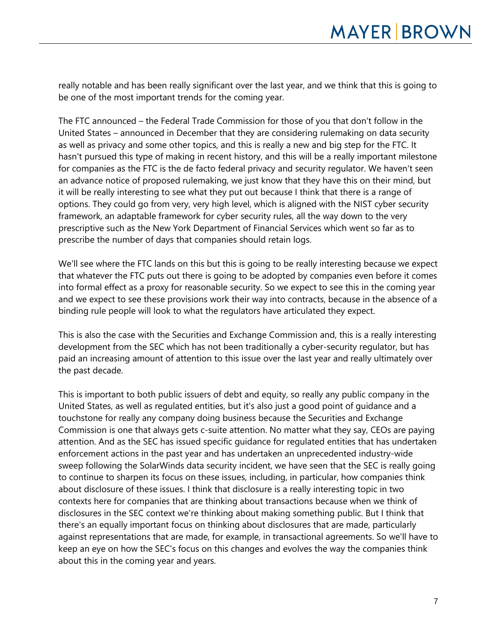really notable and has been really significant over the last year, and we think that this is going to be one of the most important trends for the coming year.

The FTC announced – the Federal Trade Commission for those of you that don't follow in the United States – announced in December that they are considering rulemaking on data security as well as privacy and some other topics, and this is really a new and big step for the FTC. It hasn't pursued this type of making in recent history, and this will be a really important milestone for companies as the FTC is the de facto federal privacy and security regulator. We haven't seen an advance notice of proposed rulemaking, we just know that they have this on their mind, but it will be really interesting to see what they put out because I think that there is a range of options. They could go from very, very high level, which is aligned with the NIST cyber security framework, an adaptable framework for cyber security rules, all the way down to the very prescriptive such as the New York Department of Financial Services which went so far as to prescribe the number of days that companies should retain logs.

We'll see where the FTC lands on this but this is going to be really interesting because we expect that whatever the FTC puts out there is going to be adopted by companies even before it comes into formal effect as a proxy for reasonable security. So we expect to see this in the coming year and we expect to see these provisions work their way into contracts, because in the absence of a binding rule people will look to what the regulators have articulated they expect.

This is also the case with the Securities and Exchange Commission and, this is a really interesting development from the SEC which has not been traditionally a cyber-security regulator, but has paid an increasing amount of attention to this issue over the last year and really ultimately over the past decade.

This is important to both public issuers of debt and equity, so really any public company in the United States, as well as regulated entities, but it's also just a good point of guidance and a touchstone for really any company doing business because the Securities and Exchange Commission is one that always gets c-suite attention. No matter what they say, CEOs are paying attention. And as the SEC has issued specific guidance for regulated entities that has undertaken enforcement actions in the past year and has undertaken an unprecedented industry-wide sweep following the SolarWinds data security incident, we have seen that the SEC is really going to continue to sharpen its focus on these issues, including, in particular, how companies think about disclosure of these issues. I think that disclosure is a really interesting topic in two contexts here for companies that are thinking about transactions because when we think of disclosures in the SEC context we're thinking about making something public. But I think that there's an equally important focus on thinking about disclosures that are made, particularly against representations that are made, for example, in transactional agreements. So we'll have to keep an eye on how the SEC's focus on this changes and evolves the way the companies think about this in the coming year and years.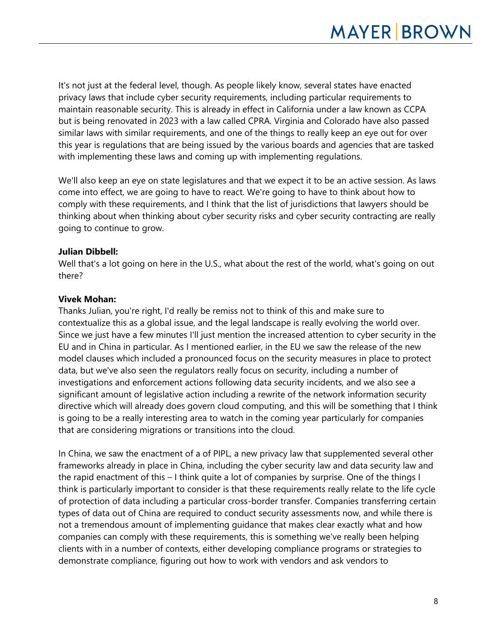It's not just at the federal level, though. As people likely know, several states have enacted privacy laws that include cyber security requirements, including particular requirements to maintain reasonable security. This is already in effect in California under a law known as CCPA but is being renovated in 2023 with a law called CPRA. Virginia and Colorado have also passed similar laws with similar requirements, and one of the things to really keep an eye out for over this year is regulations that are being issued by the various boards and agencies that are tasked with implementing these laws and coming up with implementing regulations.

We'll also keep an eye on state legislatures and that we expect it to be an active session. As laws come into effect, we are going to have to react. We're going to have to think about how to comply with these requirements, and I think that the list of jurisdictions that lawyers should be thinking about when thinking about cyber security risks and cyber security contracting are really going to continue to grow.

# **Julian Dibbell:**

Well that's a lot going on here in the U.S., what about the rest of the world, what's going on out there?

#### **Vivek Mohan:**

Thanks Julian, you're right, I'd really be remiss not to think of this and make sure to contextualize this as a global issue, and the legal landscape is really evolving the world over. Since we just have a few minutes I'll just mention the increased attention to cyber security in the EU and in China in particular. As I mentioned earlier, in the EU we saw the release of the new model clauses which included a pronounced focus on the security measures in place to protect data, but we've also seen the regulators really focus on security, including a number of investigations and enforcement actions following data security incidents, and we also see a significant amount of legislative action including a rewrite of the network information security directive which will already does govern cloud computing, and this will be something that I think is going to be a really interesting area to watch in the coming year particularly for companies that are considering migrations or transitions into the cloud.

In China, we saw the enactment of a of PIPL, a new privacy law that supplemented several other frameworks already in place in China, including the cyber security law and data security law and the rapid enactment of this – I think quite a lot of companies by surprise. One of the things I think is particularly important to consider is that these requirements really relate to the life cycle of protection of data including a particular cross-border transfer. Companies transferring certain types of data out of China are required to conduct security assessments now, and while there is not a tremendous amount of implementing guidance that makes clear exactly what and how companies can comply with these requirements, this is something we've really been helping clients with in a number of contexts, either developing compliance programs or strategies to demonstrate compliance, figuring out how to work with vendors and ask vendors to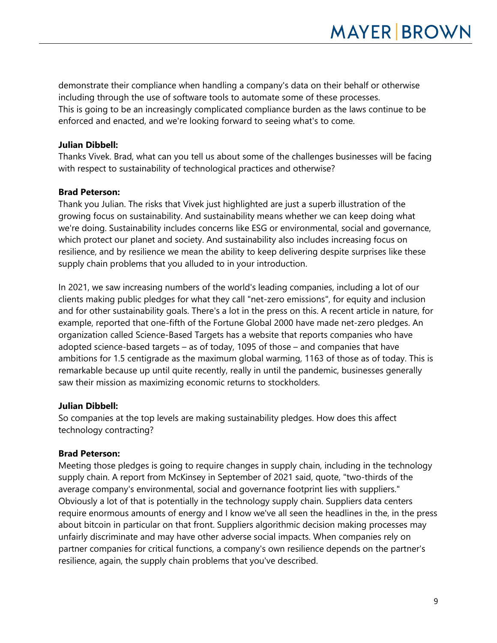demonstrate their compliance when handling a company's data on their behalf or otherwise including through the use of software tools to automate some of these processes. This is going to be an increasingly complicated compliance burden as the laws continue to be enforced and enacted, and we're looking forward to seeing what's to come.

# **Julian Dibbell:**

Thanks Vivek. Brad, what can you tell us about some of the challenges businesses will be facing with respect to sustainability of technological practices and otherwise?

# **Brad Peterson:**

Thank you Julian. The risks that Vivek just highlighted are just a superb illustration of the growing focus on sustainability. And sustainability means whether we can keep doing what we're doing. Sustainability includes concerns like ESG or environmental, social and governance, which protect our planet and society. And sustainability also includes increasing focus on resilience, and by resilience we mean the ability to keep delivering despite surprises like these supply chain problems that you alluded to in your introduction.

In 2021, we saw increasing numbers of the world's leading companies, including a lot of our clients making public pledges for what they call "net-zero emissions", for equity and inclusion and for other sustainability goals. There's a lot in the press on this. A recent article in nature, for example, reported that one-fifth of the Fortune Global 2000 have made net-zero pledges. An organization called Science-Based Targets has a website that reports companies who have adopted science-based targets – as of today, 1095 of those – and companies that have ambitions for 1.5 centigrade as the maximum global warming, 1163 of those as of today. This is remarkable because up until quite recently, really in until the pandemic, businesses generally saw their mission as maximizing economic returns to stockholders.

# **Julian Dibbell:**

So companies at the top levels are making sustainability pledges. How does this affect technology contracting?

# **Brad Peterson:**

Meeting those pledges is going to require changes in supply chain, including in the technology supply chain. A report from McKinsey in September of 2021 said, quote, "two-thirds of the average company's environmental, social and governance footprint lies with suppliers." Obviously a lot of that is potentially in the technology supply chain. Suppliers data centers require enormous amounts of energy and I know we've all seen the headlines in the, in the press about bitcoin in particular on that front. Suppliers algorithmic decision making processes may unfairly discriminate and may have other adverse social impacts. When companies rely on partner companies for critical functions, a company's own resilience depends on the partner's resilience, again, the supply chain problems that you've described.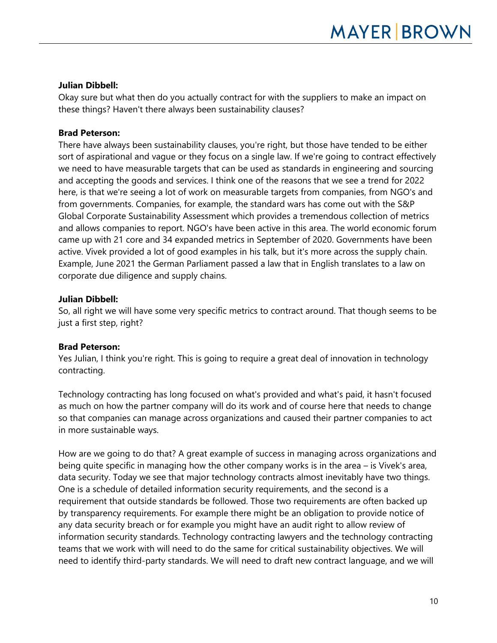# **Julian Dibbell:**

Okay sure but what then do you actually contract for with the suppliers to make an impact on these things? Haven't there always been sustainability clauses?

# **Brad Peterson:**

There have always been sustainability clauses, you're right, but those have tended to be either sort of aspirational and vague or they focus on a single law. If we're going to contract effectively we need to have measurable targets that can be used as standards in engineering and sourcing and accepting the goods and services. I think one of the reasons that we see a trend for 2022 here, is that we're seeing a lot of work on measurable targets from companies, from NGO's and from governments. Companies, for example, the standard wars has come out with the S&P Global Corporate Sustainability Assessment which provides a tremendous collection of metrics and allows companies to report. NGO's have been active in this area. The world economic forum came up with 21 core and 34 expanded metrics in September of 2020. Governments have been active. Vivek provided a lot of good examples in his talk, but it's more across the supply chain. Example, June 2021 the German Parliament passed a law that in English translates to a law on corporate due diligence and supply chains.

# **Julian Dibbell:**

So, all right we will have some very specific metrics to contract around. That though seems to be just a first step, right?

# **Brad Peterson:**

Yes Julian, I think you're right. This is going to require a great deal of innovation in technology contracting.

Technology contracting has long focused on what's provided and what's paid, it hasn't focused as much on how the partner company will do its work and of course here that needs to change so that companies can manage across organizations and caused their partner companies to act in more sustainable ways.

How are we going to do that? A great example of success in managing across organizations and being quite specific in managing how the other company works is in the area – is Vivek's area, data security. Today we see that major technology contracts almost inevitably have two things. One is a schedule of detailed information security requirements, and the second is a requirement that outside standards be followed. Those two requirements are often backed up by transparency requirements. For example there might be an obligation to provide notice of any data security breach or for example you might have an audit right to allow review of information security standards. Technology contracting lawyers and the technology contracting teams that we work with will need to do the same for critical sustainability objectives. We will need to identify third-party standards. We will need to draft new contract language, and we will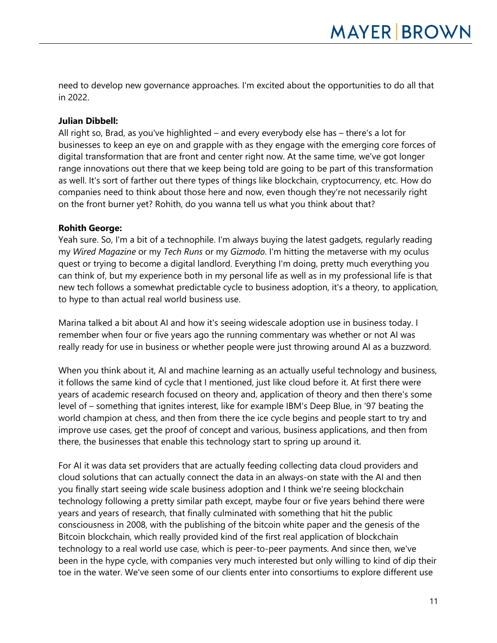need to develop new governance approaches. I'm excited about the opportunities to do all that in 2022.

# **Julian Dibbell:**

All right so, Brad, as you've highlighted – and every everybody else has – there's a lot for businesses to keep an eye on and grapple with as they engage with the emerging core forces of digital transformation that are front and center right now. At the same time, we've got longer range innovations out there that we keep being told are going to be part of this transformation as well. It's sort of farther out there types of things like blockchain, cryptocurrency, etc. How do companies need to think about those here and now, even though they're not necessarily right on the front burner yet? Rohith, do you wanna tell us what you think about that?

#### **Rohith George:**

Yeah sure. So, I'm a bit of a technophile. I'm always buying the latest gadgets, regularly reading my *Wired Magazine* or my *Tech Runs* or my *Gizmodo*. I'm hitting the metaverse with my oculus quest or trying to become a digital landlord. Everything I'm doing, pretty much everything you can think of, but my experience both in my personal life as well as in my professional life is that new tech follows a somewhat predictable cycle to business adoption, it's a theory, to application, to hype to than actual real world business use.

Marina talked a bit about AI and how it's seeing widescale adoption use in business today. I remember when four or five years ago the running commentary was whether or not AI was really ready for use in business or whether people were just throwing around AI as a buzzword.

When you think about it, AI and machine learning as an actually useful technology and business, it follows the same kind of cycle that I mentioned, just like cloud before it. At first there were years of academic research focused on theory and, application of theory and then there's some level of – something that ignites interest, like for example IBM's Deep Blue, in '97 beating the world champion at chess, and then from there the ice cycle begins and people start to try and improve use cases, get the proof of concept and various, business applications, and then from there, the businesses that enable this technology start to spring up around it.

For AI it was data set providers that are actually feeding collecting data cloud providers and cloud solutions that can actually connect the data in an always-on state with the AI and then you finally start seeing wide scale business adoption and I think we're seeing blockchain technology following a pretty similar path except, maybe four or five years behind there were years and years of research, that finally culminated with something that hit the public consciousness in 2008, with the publishing of the bitcoin white paper and the genesis of the Bitcoin blockchain, which really provided kind of the first real application of blockchain technology to a real world use case, which is peer-to-peer payments. And since then, we've been in the hype cycle, with companies very much interested but only willing to kind of dip their toe in the water. We've seen some of our clients enter into consortiums to explore different use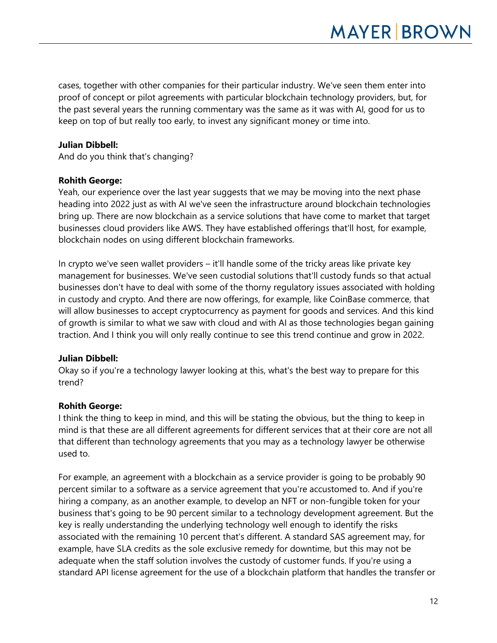cases, together with other companies for their particular industry. We've seen them enter into proof of concept or pilot agreements with particular blockchain technology providers, but, for the past several years the running commentary was the same as it was with AI, good for us to keep on top of but really too early, to invest any significant money or time into.

# **Julian Dibbell:**

And do you think that's changing?

#### **Rohith George:**

Yeah, our experience over the last year suggests that we may be moving into the next phase heading into 2022 just as with AI we've seen the infrastructure around blockchain technologies bring up. There are now blockchain as a service solutions that have come to market that target businesses cloud providers like AWS. They have established offerings that'll host, for example, blockchain nodes on using different blockchain frameworks.

In crypto we've seen wallet providers – it'll handle some of the tricky areas like private key management for businesses. We've seen custodial solutions that'll custody funds so that actual businesses don't have to deal with some of the thorny regulatory issues associated with holding in custody and crypto. And there are now offerings, for example, like CoinBase commerce, that will allow businesses to accept cryptocurrency as payment for goods and services. And this kind of growth is similar to what we saw with cloud and with AI as those technologies began gaining traction. And I think you will only really continue to see this trend continue and grow in 2022.

# **Julian Dibbell:**

Okay so if you're a technology lawyer looking at this, what's the best way to prepare for this trend?

# **Rohith George:**

I think the thing to keep in mind, and this will be stating the obvious, but the thing to keep in mind is that these are all different agreements for different services that at their core are not all that different than technology agreements that you may as a technology lawyer be otherwise used to.

For example, an agreement with a blockchain as a service provider is going to be probably 90 percent similar to a software as a service agreement that you're accustomed to. And if you're hiring a company, as an another example, to develop an NFT or non-fungible token for your business that's going to be 90 percent similar to a technology development agreement. But the key is really understanding the underlying technology well enough to identify the risks associated with the remaining 10 percent that's different. A standard SAS agreement may, for example, have SLA credits as the sole exclusive remedy for downtime, but this may not be adequate when the staff solution involves the custody of customer funds. If you're using a standard API license agreement for the use of a blockchain platform that handles the transfer or